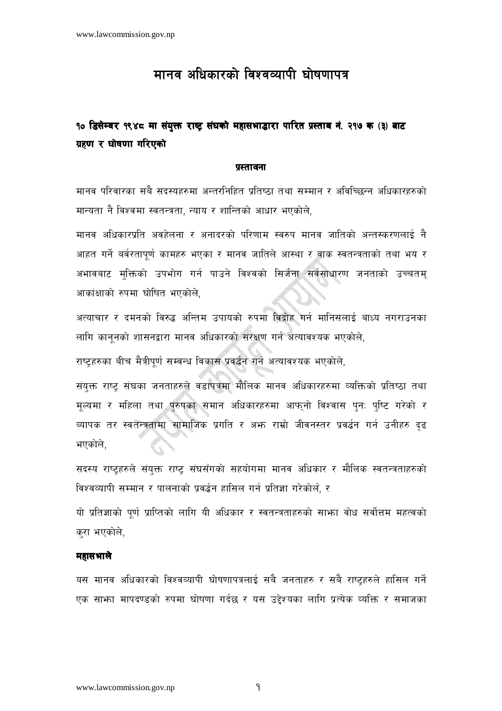# मानव अधिकारको विश्वव्यापी घोषणापत्र

## १० डिसेम्वर १९४८ मा संयुक्त राष्ट्र संघको महासभाद्धारा पारित प्रस्ताव नं. २१७ क (३) बाट ग्रहण र घोषणा गरिएको

#### प्रस्तावना

मानव परिवारका सबै सदस्यहरुमा अन्तरनिहित प्रतिष्ठा तथा सम्मान र अविच्छिन्न अधिकारहरुको मान्यता नै विश्वमा स्वतन्त्रता, न्याय र शान्तिको आधार भएकोले,

मानव अधिकारप्रति अवहेलना र अनादरको परिणाम स्वरुप मानव जातिको अन्तस्करणलाई नै आहत गर्ने बर्वरतापूर्ण कामहरु भएका र मानव जातिले आस्था र वाक स्वतन्त्रताको तथा भय र अभावबाट मुक्तिको उपभोग गर्न पाउने विश्वको सिर्जना सर्वसाधारण जनताको उच्चतम् आकांक्षाको रुपमा घोषित भएकोले.

अत्याचार र दमनको विरुद्ध अन्तिम उपायको रुपमा विद्रोह गर्न मानिसलाई बाध्य नगराउनका लागि काननको शासनद्वारा मानव अधिकारको संरक्षण गर्न अत्यावश्यक भएकोले.

राष्ट्रहरुका बीच मैत्रीपूर्ण सम्बन्ध विकास प्रवर्द्धन गर्न अत्यावश्यक भएकोले,

संयक्त राष्ट संघका जनताहरुले वडापत्रमा मौलिक मानव अधिकारहरुमा व्यक्तिको प्रतिष्ठा तथा मूल्यमा र महिला तथा पुरुषका समान अधिकारहरुमा आफ्**नो विश्वास पुनः पुष्टि गरेको** र व्यापक तर स्वतन्त्रतामा सामाजिक प्रगति र अफ्त राम्रो जीवनस्तर प्रवर्द्धन गर्न उनीहरु दृढ भएकोले,

सदस्य राष्टहरुले संयुक्त राष्ट संघसँगको सहयोगमा मानव अधिकार र मौलिक स्वतन्त्रताहरुको विश्वव्यापी सम्मान र पालनाको प्रवर्द्धन हासिल गर्न प्रतिज्ञा गरेकोले, र

यो प्रतिज्ञाको पूर्ण प्राप्तिको लागि यी अधिकार र स्वतन्त्रताहरुको साभ्रा वोध सर्वोत्तम महत्वको करा भएकोले,

## महासभाले

यस मानव अधिकारको विश्वव्यापी घोषणापत्रलाई सबै जनताहरु र सबै राष्टहरुले हासिल गर्ने एक साभ्जा मापदण्डको रुपमा घोषणा गर्दछ र यस उद्देश्यका लागि प्रत्येक व्यक्ति र समाजका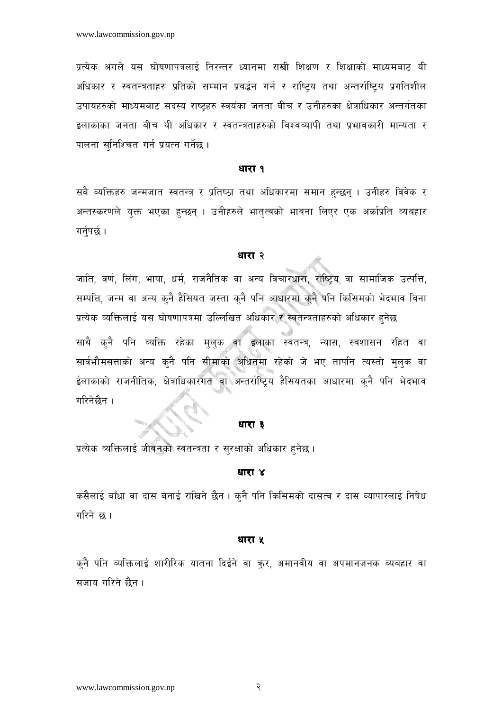प्रत्येक अंगले यस घोषणापत्रलाई निरन्तर ध्यानमा राखी शिक्षण र शिक्षाको माध्यमबाट यी अधिकार र स्वतन्त्रताहरु प्रतिको सम्मान प्रवर्द्धन गर्न र राष्ट्रिय तथा अन्तर्राष्ट्रिय प्रगतिशील उपायहरुको माध्यमबाट सदस्य राष्ट्रहरु स्वयंका जनता बीच र उनीहरुका क्षेत्राधिकार अन्तर्गतका इलाकाका जनता बीच यी अधिकार र स्वतन्त्रताहरुको विश्वव्यापी तथा प्रभावकारी मान्यता र पालना सनिश्चित गर्न प्रयत्न गर्नेछ ।

#### धारा १

सबै व्यक्तिहरु जन्मजात स्वतन्त्र र प्रतिष्ठा तथा अधिकारमा समान हुन्छन् । उनीहरु विवेक र अन्तस्करणले युक्त भएका हुन्छन् । उनीहरुले भातृत्वको भावना लिएर एक अर्काप्रति व्यबहार गर्नुपर्छ ।

#### धारा २

जाति, वर्ण, लिंग, भाषा, धर्म, राजनैतिक वा अन्य विचारधारा, राष्ट्रिय वा सामाजिक उत्पत्ति, सम्पत्ति, जन्म वा अन्य कुनै हैसियत जस्ता कुनै पनि आधारमा कुनै पनि किसिमको भेदभाव विना प्रत्येक व्यक्तिलाई यस घोषणापत्रमा उल्लिखित अधिकार र स्वतन्त्रताहरुको अधिकार हुनेछ

साथै कुनै पनि व्यक्ति रहेका मुलुक वा इलाका स्वतन्त्र, न्यास, स्वशासन रहित वा सार्वभौमसत्ताको अन्य कुनै पनि सीमाको अधिनमा रहेको जे भए तापनि त्यस्तो मुलुक वा ईलाकाको राजनीतिक, क्षेत्राधिकारगत वा अन्तर्राष्ट्रिय हैसियतका आधारमा कुनै पनि भेदभाव गरिनेछैन ।

#### धारा ३

प्रत्येक व्यक्तिलाई जीवनको स्वतन्त्रता र सुरक्षाको अधिकार हुनेछ ।

#### धारा ४

कसैलाई बाँधा वा दास बनाई राखिने छैन । क्नै पनि किसिमको दासत्व र दास व्यापारलाई निषेध गरिने छ ।

#### धारा ५

कुनै पनि व्यक्तिलाई शारीरिक यातना दिईने वा कुर, अमानवीय वा अपमानजनक व्यबहार वा सजाय गरिने छैन ।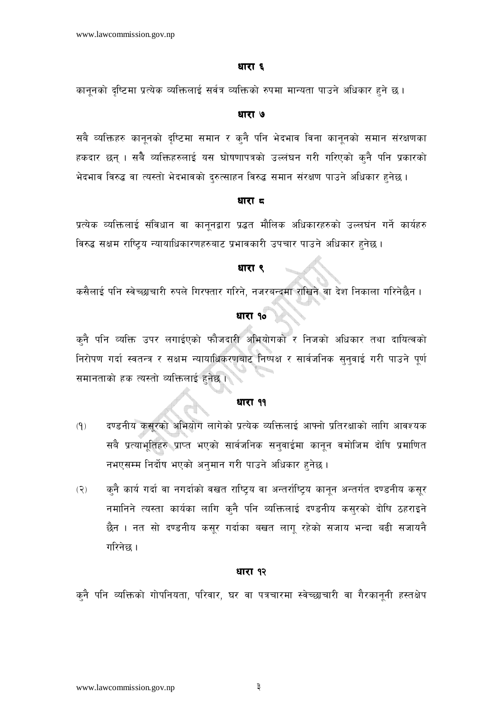#### धारा ६

कानूनको दृष्टिमा प्रत्येक व्यक्तिलाई सर्वत्र व्यक्तिको रुपमा मान्यता पाउने अधिकार हुने छ।

#### धारा ७

सबै व्यक्तिहरु कानूनको दृष्टिमा समान र कुनै पनि भेदभाव विना कानूनको समान संरक्षणका हकदार छन् । सबै व्यक्तिहरुलाई यस घोषणापत्रको उल्लंघन गरी गरिएको क्नै पनि प्रकारको भेदभाव विरुद्ध वा त्यस्तो भेदभावको दुरुत्साहन विरुद्ध समान संरक्षण पाउने अधिकार हुनेछ ।

## धारा द

प्रत्येक व्यक्तिलाई संविधान वा कानूनद्वारा प्रद्धत मौलिक अधिकारहरुको उल्लघंन गर्ने कार्यहरु विरुद्ध सक्षम राष्ट्रिय न्यायाधिकारणहरुबाट प्रभावकारी उपचार पाउने अधिकार हुनेछ।

## धारा ९

कसैलाई पनि स्वेच्छाचारी रुपले गिरफ्तार गरिने, नजरबन्दमा राखिने वा देश निकाला गरिनेछैन ।

## धारा १०

कनै पनि व्यक्ति उपर लगाईएको फौजदारी अभियोगको र निजको अधिकार तथा दायित्वको निरोपण गर्दा स्वतन्त्र र सक्षम न्यायाधिकरणबाट निष्पक्ष र सार्वजनिक सुनुवाई गरी पाउने पूर्ण समानताको हक त्यस्तो व्यक्तिलाई हुनेछ ।

## धारा ११

- दण्डनीय कसूरको अभियोग लागेको प्रत्येक व्यक्तिलाई आफ्नो प्रतिरक्षाको लागि आवश्यक  $(9)$ सबै प्रत्याभूतिहरु प्राप्त भएको सार्वजनिक सनुवाईमा कानून वमोजिम दोषि प्रमाणित नभएसम्म निर्दोष भएको अनुमान गरी पाउने अधिकार हुनेछ।
- क्नै कार्य गर्दा वा नगर्दाको वखत राष्ट्रिय वा अन्तर्राष्ट्रिय कानून अन्तर्गत दण्डनीय कसूर  $(5)$ नमानिने त्यस्ता कार्यका लागि कुनै पनि व्यक्तिलाई दण्डनीय कसुरको दोषि ठहराइने छैन । नत सो दण्डनीय कसूर गर्दाका बखत लागू रहेको सजाय भन्दा बढी सजायनै गरिनेछ ।

#### धारा १२

क्<mark>नै पनि व्यक्तिको गोपनियता, परिवार, घर वा पत्रचारमा स्वेच्छाचारी वा गैरकानूनी हस्तक्षेप</mark>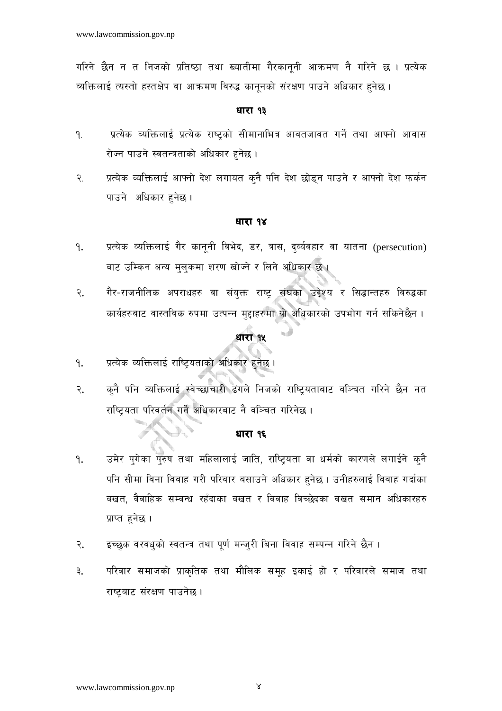गरिने छैन न त निजको प्रतिष्ठा तथा ख्यातीमा गैरकाननी आक्रमण नै गरिने छ । प्रत्येक व्यक्तिलाई त्यस्तो हस्तक्षेप वा आक्रमण विरुद्ध कानूनको संरक्षण पाउने अधिकार हुनेछ ।

## धारा १३

- प्रत्येक व्यक्तिलाई प्रत्येक राष्टको सीमानाभित्र आवतजावत गर्ने तथा आफ्नो आवास 9. रोज्न पाउने स्वतन्त्रताको अधिकार हुनेछ।
- प्रत्येक व्यक्तिलाई आफ्नो देश लगायत कुनै पनि देश छोड्न पाउने र आफ्नो देश फर्कन  $\mathcal{R}$ . पाउने अधिकार हनेछ।

### धारा १४

- प्रत्येक व्यक्तिलाई गैर कानूनी विभेद, डर, त्रास, द्व्यंवहार वा यातना (persecution) ۹. बाट उम्किन अन्य मुलुकमा शरण खोज्ने र लिने अधिकार छ ।
- गैर-राजनीतिक अपराधहरु वा संयुक्त राष्ट्र संघका उद्देश्य र सिद्धान्तहरु विरुद्धका २. कार्यहरुबाट वास्तविक रुपमा उत्पन्न मुद्दाहरुमा यो अधिकारको उपभोग गर्न सकिनेछैन ।

## धारा १५

- प्रत्येक व्यक्तिलाई राष्ट्रियताको अधिकार हुनेछ। ۹.
- क्नै पनि व्यक्तिलाई स्वेच्छाचारी ढंगले निजको राष्ट्रियताबाट वञ्चित गरिने छैन नत २. राष्ट्रियता परिवर्तन गर्ने अधिकारबाट नै वञ्चित गरिनेछ ।

### धारा १६

- उमेर पगेका पुरुष तथा महिलालाई जाति, राष्टियता वा धर्मको कारणले लगाईने कुनै ۹. पनि सीमा विना विवाह गरी परिवार बसाउने अधिकार हनेछ । उनीहरुलाई विवाह गर्दाका बखत, वैवाहिक सम्वन्ध रहँदाका बखत र विवाह विच्छेदका वखत समान अधिकारहरु प्राप्त हनेछ।
- इच्छुक वरवध्को स्वतन्त्र तथा पूर्ण मन्ज्री बिना विवाह सम्पन्न गरिने छैन । २.
- परिवार समाजको प्राकृतिक तथा मौलिक समूह इकाई हो र परिवारले समाज तथा ३. राष्ट्रबाट संरक्षण पाउनेछ।

 $\propto$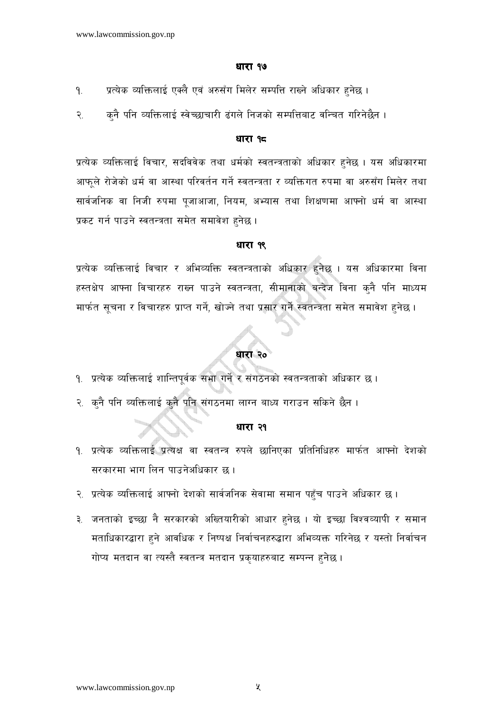#### धारा १७

- प्रत्येक व्यक्तिलाई एक्लै एवं अरुसँग मिलेर सम्पत्ति राख्ने अधिकार हुनेछ ।  $9.$
- कुनै पनि व्यक्तिलाई स्वेच्छाचारी ढंगले निजको सम्पत्तिबाट वन्चित गरिनेछैन । २.

#### धारा १८

प्रत्येक व्यक्तिलाई विचार, सदविवेक तथा धर्मको स्वतन्त्रताको अधिकार हुनेछ । यस अधिकारमा आफुले रोजेको धर्म वा आस्था परिवर्तन गर्ने स्वतन्त्रता र व्यक्तिगत रुपमा वा अरुसँग मिलेर तथा सार्वजनिक वा निजी रुपमा पूजाआजा, नियम, अभ्यास तथा शिक्षणमा आफ्नो धर्म वा आस्था प्रकट गर्न पाउने स्वतन्त्रता समेत समावेश हनेछ।

## धारा १९

प्रत्येक व्यक्तिलाई विचार र अभिव्यक्ति स्वतन्त्रताको अधिकार हुनेछ । यस अधिकारमा विना हस्तक्षेप आफ्ना विचारहरु राख्न पाउने स्वतन्त्रता, सीमानाको बन्देज विना कुनै पनि माध्यम मार्फत सूचना र विचारहरु प्राप्त गर्ने, खोज्ने तथा प्रसार गर्ने स्वतन्त्रता समेत समावेश हुनेछ ।

## धारा २०

- १. प्रत्येक व्यक्तिलाई शान्तिपूर्वक सभा गर्ने र संगठनको स्वतन्त्रताको अधिकार छ।
- २. कुनै पनि व्यक्तिलाई कुनै पनि संगठनमा लाग्न बाध्य गराउन सकिने छैन ।

#### धारा २१

- १. प्रत्येक व्यक्तिलाई प्रत्यक्ष वा स्वतन्त्र रुपले छानिएका प्रतिनिधिहरु मार्फत आफ्नो देशको सरकारमा भाग लिन पाउनेअधिकार छ।
- २. प्रत्येक व्यक्तिलाई आफ्नो देशको सार्वजनिक सेवामा समान पहुँच पाउने अधिकार छ।
- ३. जनताको इच्छा नै सरकारको अख्तियारीको आधार हुनेछ । यो इच्छा विश्वव्यापी र समान मताधिकारद्धारा हुने आवधिक र निष्पक्ष निर्वाचनहरुद्धारा अभिव्यक्त गरिनेछ र यस्तो निर्वाचन गोप्य मतदान वा त्यस्तै स्वतन्त्र मतदान प्रकृयाहरुबाट सम्पन्न हुनेछ ।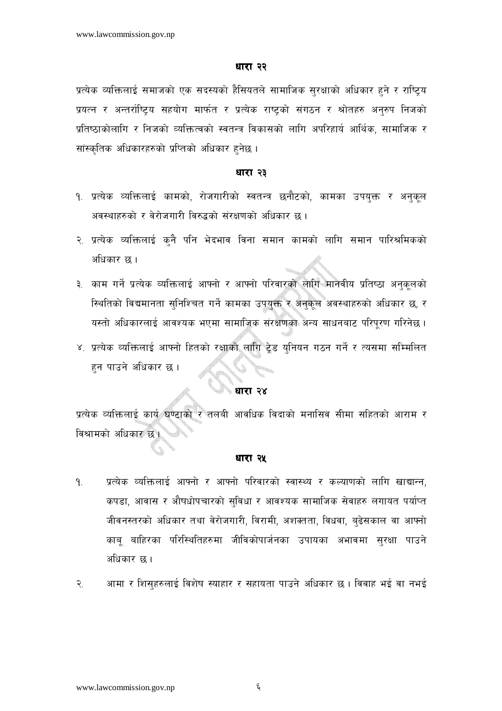#### धारा २२

प्रत्येक व्यक्तिलाई समाजको एक सदस्यको हैसियतले सामाजिक सुरक्षाको अधिकार हुने र राष्ट्रिय प्रयत्न र अन्तर्राष्ट्रिय सहयोग मार्फत र प्रत्येक राष्ट्रको संगठन र श्रोतहरु अनुरुप निजको प्रतिष्ठाकोलागि र निजको व्यक्तित्वको स्वतन्त्र विकासको लागि अपरिहार्य आर्थिक, सामाजिक र सांस्कृतिक अधिकारहरुको प्रप्तिको अधिकार हुनेछ ।

#### धारा २३

- <u>१. प्रत्येक व्यक्तिलाई कामको, रोजगारीको स्वतन्त्र छनौटको, कामका उपयुक्त र अनुकुल</u> अवस्थाहरुको र वेरोजगारी विरुद्धको संरक्षणको अधिकार छ ।
- २. प्रत्येक व्यक्तिलाई कुनै पनि भेदभाव विना समान कामको लागि समान पारिश्रमिकको अधिकार छ ।
- ३. काम गर्ने प्रत्येक व्यक्तिलाई आफ्नो र आफ्नो परिवारको लागि मानवीय प्रतिष्ठा अनुकूलको स्थितिको विद्यमानता सुनिश्चित गर्ने कामका उपयुक्त र अनुकूल अवस्थाहरुको अधिकार छ, र यस्तो अधिकारलाई आवश्यक भएमा सामाजिक संरक्षणका अन्य साधनबाट परिपूरण गरिनेछ ।
- ४. प्रत्येक व्यक्तिलाई आफ्नो हितको रक्षाको लागि ट्रेड युनियन गठन गर्ने र त्यसमा सम्मिलित हन पाउने अधिकार छ ।

#### े धारा २४

प्रत्येक व्यक्तिलाई कार्य घण्टाको र तलबी आवधिक विदाको मनासिव सीमा सहितको आराम र विश्रामको अधिकार छ।

## धारा २५

- प्रत्येक व्यक्तिलाई आफ्नो र आफ्नो परिवारको स्वास्थ्य र कल्याणको लागि खाद्यान्न,  $9.$ कपडा, आवास र औषधोपचारको सुविधा र आवश्यक सामाजिक सेवाहरु लगायत पर्याप्त जीवनस्तरको अधिकार तथा वेरोजगारी, विरामी, अशक्तता, विधवा, बुढेसकाल वा आफ्नो काबू बाहिरका परिस्थितिहरुमा जीविकोपार्जनका उपायका अभावमा सुरक्षा पाउने अधिकार छ।
- आमा र शिसुहरुलाई विशेष स्याहार र सहायता पाउने अधिकार छ । विवाह भई वा नभई  $\widetilde{\mathcal{R}}$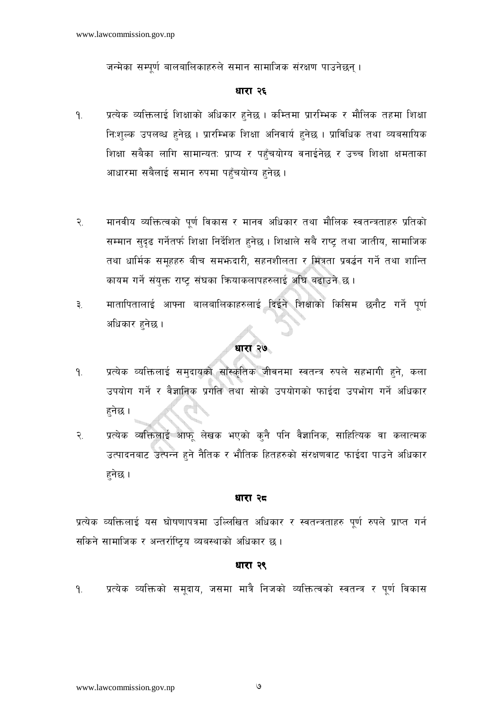जन्मेका सम्पूर्ण बालबालिकाहरुले समान सामाजिक संरक्षण पाउनेछन्।

## धारा २६

- प्रत्येक व्यक्तिलाई शिक्षाको अधिकार हुनेछ । कम्तिमा प्रारम्भिक र मौलिक तहमा शिक्षा  $9.$ नि:शल्क उपलब्ध हुनेछ । प्रारम्भिक शिक्षा अनिवार्य हुनेछ । प्राविधिक तथा व्यबसायिक शिक्षा सबैका लागि सामान्यत: प्राप्य र पहुँचयोग्य वनाईनेछ र उच्च शिक्षा क्षमताका आधारमा सबैलाई समान रुपमा पहँचयोग्य हनेछ ।
- मानवीय व्यक्तित्वको पूर्ण विकास र मानव अधिकार तथा मौलिक स्वतन्त्रताहरु प्रतिको  $\widetilde{\mathcal{R}}$ . सम्मान सुदृढ गर्नेतर्फ शिक्षा निर्देशित हुनेछ। शिक्षाले सबै राष्ट् तथा जातीय, सामाजिक तथा धार्मिक समूहहरु बीच समभ्रुदारी, सहनशीलता र मित्रता प्रवर्द्धन गर्ने तथा शान्ति कायम गर्ने संयुक्त राष्ट्र संघका कियाकलापहरुलाई अधि बढाउने छ ।
- मातापितालाई आफ्ना बालबालिकाहरुलाई दिईने शिक्षाको किसिम छनौट गर्ने पूर्ण ३. अधिकार हुनेछ ।

## धारा २७

- प्रत्येक व्यक्तिलाई समुदायको साँस्कृतिक जीवनमा स्वतन्त्र रुपले सहभागी हने, कला ۹. उपयोग गर्ने र वैज्ञानिक प्रगति तथा सोको उपयोगको फाईदा उपभोग गर्ने अधिकार हनेछ ।
- प्रत्येक व्यक्तिलाई आफ् लेखक भएको कुनै पनि वैज्ञानिक, साहित्यिक वा कलात्मक  $\mathcal{R}_{\cdot}$ उत्पादनबाट उत्पन्न हुने नैतिक र भौतिक हितहरुको संरक्षणवाट फाईदा पाउने अधिकार हनेछ ।

#### धारा २८

प्रत्येक व्यक्तिलाई यस घोषणापत्रमा उल्लिखित अधिकार र स्वतन्त्रताहरु पूर्ण रुपले प्राप्त गर्न सकिने सामाजिक र अन्तर्राष्टिय व्यबस्थाको अधिकार छ।

## धारा २९

प्रत्येक व्यक्तिको समूदाय, जसमा मात्रै निजको व्यक्तित्वको स्वतन्त्र र पूर्ण विकास  $9.$ 

৩